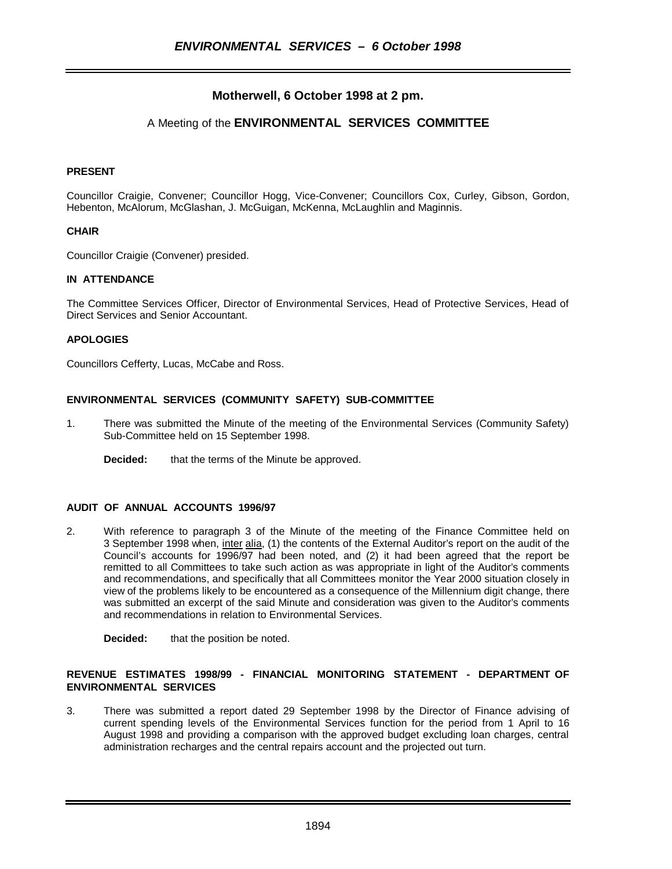# **Motherwell, 6 October 1998 at 2 pm.**

## A Meeting of the **ENVIRONMENTAL SERVICES COMMITTEE**

## **PRESENT**

Councillor Craigie, Convener; Councillor Hogg, Vice-Convener; Councillors Cox, Curley, Gibson, Gordon, Hebenton, McAlorum, McGlashan, J. McGuigan, McKenna, McLaughlin and Maginnis.

#### **CHAIR**

Councillor Craigie (Convener) presided.

#### **IN ATTENDANCE**

The Committee Services Officer, Director of Environmental Services, Head of Protective Services, Head of Direct Services and Senior Accountant.

#### **APOLOGIES**

Councillors Cefferty, Lucas, McCabe and Ross.

#### **ENVIRONMENTAL SERVICES (COMMUNITY SAFETY) SUB-COMMITTEE**

- 1. There was submitted the Minute of the meeting of the Environmental Services (Community Safety) Sub-Committee held on 15 September 1998.
	- **Decided:** that the terms of the Minute be approved.

#### **AUDIT OF ANNUAL ACCOUNTS 1996/97**

2. With reference to paragraph 3 of the Minute of the meeting of the Finance Committee held on 3 September 1998 when, inter alia, (1) the contents of the External Auditor's report on the audit of the Council's accounts for 1996/97 had been noted, and (2) it had been agreed that the report be remitted to all Committees to take such action as was appropriate in light of the Auditor's comments and recommendations, and specifically that all Committees monitor the Year 2000 situation closely in view of the problems likely to be encountered as a consequence of the Millennium digit change, there was submitted an excerpt of the said Minute and consideration was given to the Auditor's comments and recommendations in relation to Environmental Services.

**Decided:** that the position be noted.

## **REVENUE ESTIMATES 1998/99 - FINANCIAL MONITORING STATEMENT - DEPARTMENT OF ENVIRONMENTAL SERVICES**

3. There was submitted a report dated 29 September 1998 by the Director of Finance advising of current spending levels of the Environmental Services function for the period from 1 April to 16 August 1998 and providing a comparison with the approved budget excluding loan charges, central administration recharges and the central repairs account and the projected out turn.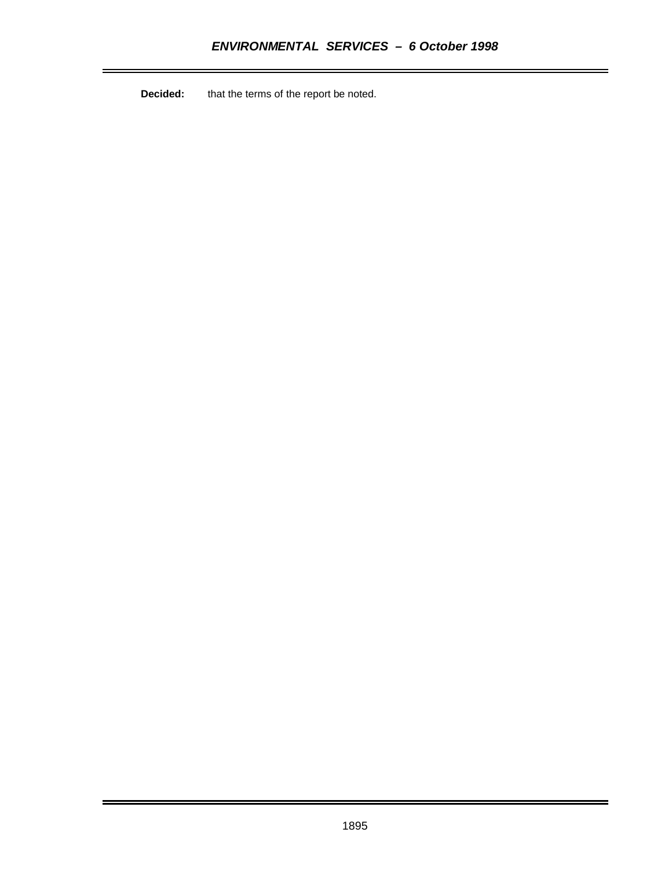**Decided:** that the terms of the report be noted.

i.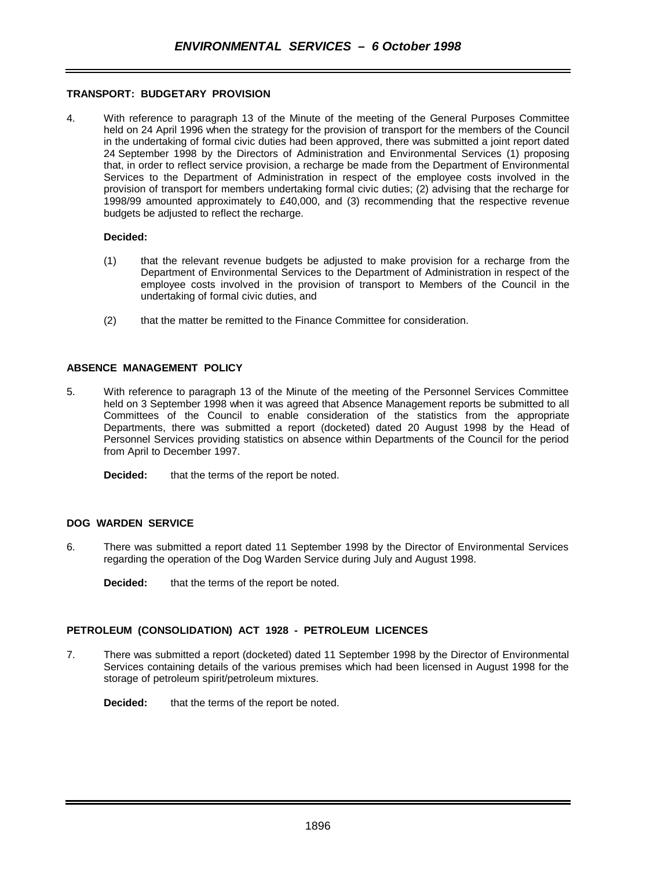### **TRANSPORT: BUDGETARY PROVISION**

4. With reference to paragraph 13 of the Minute of the meeting of the General Purposes Committee held on 24 April 1996 when the strategy for the provision of transport for the members of the Council in the undertaking of formal civic duties had been approved, there was submitted a joint report dated 24 September 1998 by the Directors of Administration and Environmental Services (1) proposing that, in order to reflect service provision, a recharge be made from the Department of Environmental Services to the Department of Administration in respect of the employee costs involved in the provision of transport for members undertaking formal civic duties; (2) advising that the recharge for 1998/99 amounted approximately to £40,000, and (3) recommending that the respective revenue budgets be adjusted to reflect the recharge.

#### **Decided:**

- (1) that the relevant revenue budgets be adjusted to make provision for a recharge from the Department of Environmental Services to the Department of Administration in respect of the employee costs involved in the provision of transport to Members of the Council in the undertaking of formal civic duties, and
- (2) that the matter be remitted to the Finance Committee for consideration.

#### **ABSENCE MANAGEMENT POLICY**

5. With reference to paragraph 13 of the Minute of the meeting of the Personnel Services Committee held on 3 September 1998 when it was agreed that Absence Management reports be submitted to all Committees of the Council to enable consideration of the statistics from the appropriate Departments, there was submitted a report (docketed) dated 20 August 1998 by the Head of Personnel Services providing statistics on absence within Departments of the Council for the period from April to December 1997.

**Decided:** that the terms of the report be noted.

#### **DOG WARDEN SERVICE**

6. There was submitted a report dated 11 September 1998 by the Director of Environmental Services regarding the operation of the Dog Warden Service during July and August 1998.

**Decided:** that the terms of the report be noted.

#### **PETROLEUM (CONSOLIDATION) ACT 1928 - PETROLEUM LICENCES**

7. There was submitted a report (docketed) dated 11 September 1998 by the Director of Environmental Services containing details of the various premises which had been licensed in August 1998 for the storage of petroleum spirit/petroleum mixtures.

**Decided:** that the terms of the report be noted.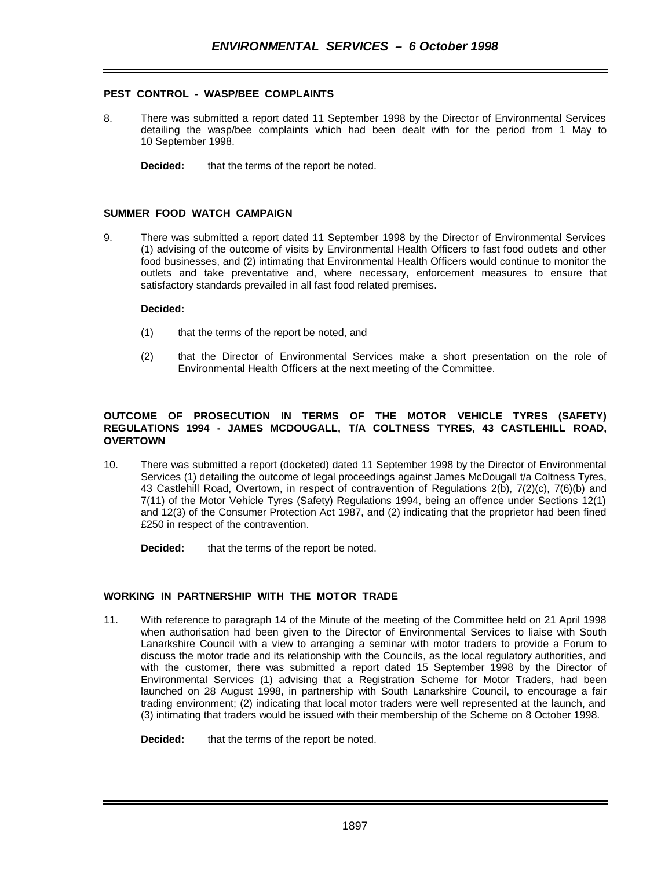## **PEST CONTROL - WASP/BEE COMPLAINTS**

- 8. There was submitted a report dated 11 September 1998 by the Director of Environmental Services detailing the wasp/bee complaints which had been dealt with for the period from 1 May to 10 September 1998.
	- **Decided:** that the terms of the report be noted.

#### **SUMMER FOOD WATCH CAMPAIGN**

9. There was submitted a report dated 11 September 1998 by the Director of Environmental Services (1) advising of the outcome of visits by Environmental Health Officers to fast food outlets and other food businesses, and (2) intimating that Environmental Health Officers would continue to monitor the outlets and take preventative and, where necessary, enforcement measures to ensure that satisfactory standards prevailed in all fast food related premises.

#### **Decided:**

- (1) that the terms of the report be noted, and
- (2) that the Director of Environmental Services make a short presentation on the role of Environmental Health Officers at the next meeting of the Committee.

## **OUTCOME OF PROSECUTION IN TERMS OF THE MOTOR VEHICLE TYRES (SAFETY) REGULATIONS 1994 - JAMES MCDOUGALL, T/A COLTNESS TYRES, 43 CASTLEHILL ROAD, OVERTOWN**

10. There was submitted a report (docketed) dated 11 September 1998 by the Director of Environmental Services (1) detailing the outcome of legal proceedings against James McDougall t/a Coltness Tyres, 43 Castlehill Road, Overtown, in respect of contravention of Regulations 2(b), 7(2)(c), 7(6)(b) and 7(11) of the Motor Vehicle Tyres (Safety) Regulations 1994, being an offence under Sections 12(1) and 12(3) of the Consumer Protection Act 1987, and (2) indicating that the proprietor had been fined £250 in respect of the contravention.

**Decided:** that the terms of the report be noted.

## **WORKING IN PARTNERSHIP WITH THE MOTOR TRADE**

11. With reference to paragraph 14 of the Minute of the meeting of the Committee held on 21 April 1998 when authorisation had been given to the Director of Environmental Services to liaise with South Lanarkshire Council with a view to arranging a seminar with motor traders to provide a Forum to discuss the motor trade and its relationship with the Councils, as the local regulatory authorities, and with the customer, there was submitted a report dated 15 September 1998 by the Director of Environmental Services (1) advising that a Registration Scheme for Motor Traders, had been launched on 28 August 1998, in partnership with South Lanarkshire Council, to encourage a fair trading environment; (2) indicating that local motor traders were well represented at the launch, and (3) intimating that traders would be issued with their membership of the Scheme on 8 October 1998.

**Decided:** that the terms of the report be noted.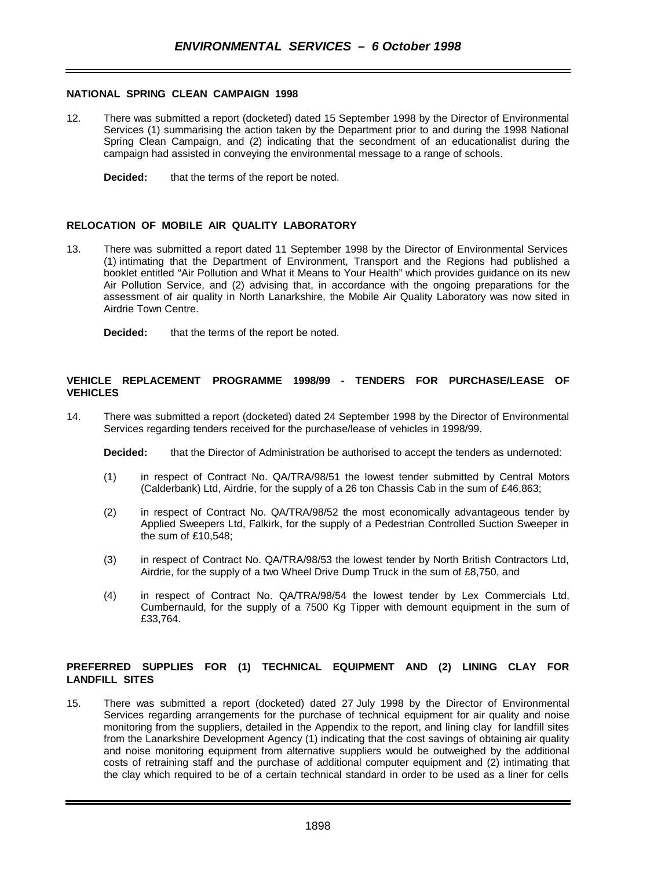#### **NATIONAL SPRING CLEAN CAMPAIGN 1998**

- 12. There was submitted a report (docketed) dated 15 September 1998 by the Director of Environmental Services (1) summarising the action taken by the Department prior to and during the 1998 National Spring Clean Campaign, and (2) indicating that the secondment of an educationalist during the campaign had assisted in conveying the environmental message to a range of schools.
	- **Decided:** that the terms of the report be noted.

### **RELOCATION OF MOBILE AIR QUALITY LABORATORY**

- 13. There was submitted a report dated 11 September 1998 by the Director of Environmental Services (1) intimating that the Department of Environment, Transport and the Regions had published a booklet entitled "Air Pollution and What it Means to Your Health" which provides guidance on its new Air Pollution Service, and (2) advising that, in accordance with the ongoing preparations for the assessment of air quality in North Lanarkshire, the Mobile Air Quality Laboratory was now sited in Airdrie Town Centre.
	- **Decided:** that the terms of the report be noted.

#### **VEHICLE REPLACEMENT PROGRAMME 1998/99 - TENDERS FOR PURCHASE/LEASE OF VEHICLES**

14. There was submitted a report (docketed) dated 24 September 1998 by the Director of Environmental Services regarding tenders received for the purchase/lease of vehicles in 1998/99.

**Decided:** that the Director of Administration be authorised to accept the tenders as undernoted:

- (1) in respect of Contract No. QA/TRA/98/51 the lowest tender submitted by Central Motors (Calderbank) Ltd, Airdrie, for the supply of a 26 ton Chassis Cab in the sum of £46,863;
- (2) in respect of Contract No. QA/TRA/98/52 the most economically advantageous tender by Applied Sweepers Ltd, Falkirk, for the supply of a Pedestrian Controlled Suction Sweeper in the sum of £10,548;
- (3) in respect of Contract No. QA/TRA/98/53 the lowest tender by North British Contractors Ltd, Airdrie, for the supply of a two Wheel Drive Dump Truck in the sum of £8,750, and
- (4) in respect of Contract No. QA/TRA/98/54 the lowest tender by Lex Commercials Ltd, Cumbernauld, for the supply of a 7500 Kg Tipper with demount equipment in the sum of £33,764.

## **PREFERRED SUPPLIES FOR (1) TECHNICAL EQUIPMENT AND (2) LINING CLAY FOR LANDFILL SITES**

15. There was submitted a report (docketed) dated 27 July 1998 by the Director of Environmental Services regarding arrangements for the purchase of technical equipment for air quality and noise monitoring from the suppliers, detailed in the Appendix to the report, and lining clay for landfill sites from the Lanarkshire Development Agency (1) indicating that the cost savings of obtaining air quality and noise monitoring equipment from alternative suppliers would be outweighed by the additional costs of retraining staff and the purchase of additional computer equipment and (2) intimating that the clay which required to be of a certain technical standard in order to be used as a liner for cells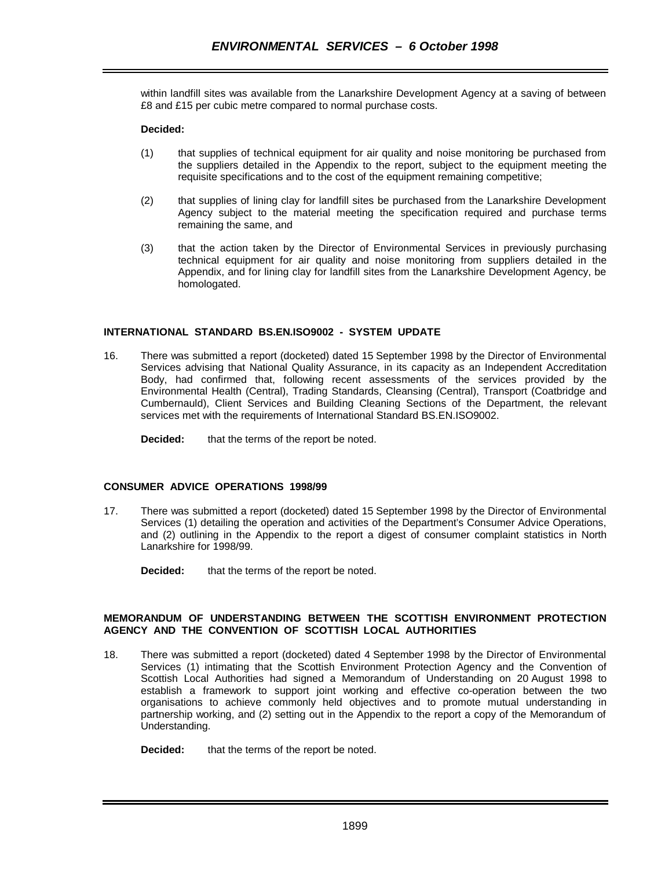within landfill sites was available from the Lanarkshire Development Agency at a saving of between £8 and £15 per cubic metre compared to normal purchase costs.

## **Decided:**

- (1) that supplies of technical equipment for air quality and noise monitoring be purchased from the suppliers detailed in the Appendix to the report, subject to the equipment meeting the requisite specifications and to the cost of the equipment remaining competitive;
- (2) that supplies of lining clay for landfill sites be purchased from the Lanarkshire Development Agency subject to the material meeting the specification required and purchase terms remaining the same, and
- (3) that the action taken by the Director of Environmental Services in previously purchasing technical equipment for air quality and noise monitoring from suppliers detailed in the Appendix, and for lining clay for landfill sites from the Lanarkshire Development Agency, be homologated.

## **INTERNATIONAL STANDARD BS.EN.ISO9002 - SYSTEM UPDATE**

16. There was submitted a report (docketed) dated 15 September 1998 by the Director of Environmental Services advising that National Quality Assurance, in its capacity as an Independent Accreditation Body, had confirmed that, following recent assessments of the services provided by the Environmental Health (Central), Trading Standards, Cleansing (Central), Transport (Coatbridge and Cumbernauld), Client Services and Building Cleaning Sections of the Department, the relevant services met with the requirements of International Standard BS.EN.ISO9002.

**Decided:** that the terms of the report be noted.

## **CONSUMER ADVICE OPERATIONS 1998/99**

- 17. There was submitted a report (docketed) dated 15 September 1998 by the Director of Environmental Services (1) detailing the operation and activities of the Department's Consumer Advice Operations, and (2) outlining in the Appendix to the report a digest of consumer complaint statistics in North Lanarkshire for 1998/99.
	- **Decided:** that the terms of the report be noted.

## **MEMORANDUM OF UNDERSTANDING BETWEEN THE SCOTTISH ENVIRONMENT PROTECTION AGENCY AND THE CONVENTION OF SCOTTISH LOCAL AUTHORITIES**

18. There was submitted a report (docketed) dated 4 September 1998 by the Director of Environmental Services (1) intimating that the Scottish Environment Protection Agency and the Convention of Scottish Local Authorities had signed a Memorandum of Understanding on 20 August 1998 to establish a framework to support joint working and effective co-operation between the two organisations to achieve commonly held objectives and to promote mutual understanding in partnership working, and (2) setting out in the Appendix to the report a copy of the Memorandum of Understanding.

## **Decided:** that the terms of the report be noted.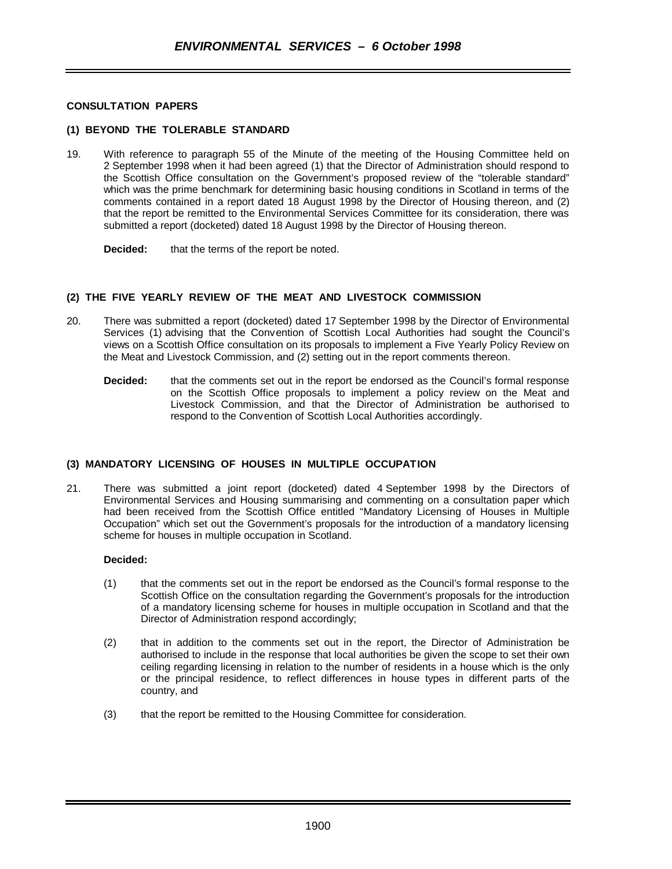#### **CONSULTATION PAPERS**

#### **(1) BEYOND THE TOLERABLE STANDARD**

19. With reference to paragraph 55 of the Minute of the meeting of the Housing Committee held on 2 September 1998 when it had been agreed (1) that the Director of Administration should respond to the Scottish Office consultation on the Government's proposed review of the "tolerable standard" which was the prime benchmark for determining basic housing conditions in Scotland in terms of the comments contained in a report dated 18 August 1998 by the Director of Housing thereon, and (2) that the report be remitted to the Environmental Services Committee for its consideration, there was submitted a report (docketed) dated 18 August 1998 by the Director of Housing thereon.

**Decided:** that the terms of the report be noted.

#### **(2) THE FIVE YEARLY REVIEW OF THE MEAT AND LIVESTOCK COMMISSION**

- 20. There was submitted a report (docketed) dated 17 September 1998 by the Director of Environmental Services (1) advising that the Convention of Scottish Local Authorities had sought the Council's views on a Scottish Office consultation on its proposals to implement a Five Yearly Policy Review on the Meat and Livestock Commission, and (2) setting out in the report comments thereon.
	- **Decided:** that the comments set out in the report be endorsed as the Council's formal response on the Scottish Office proposals to implement a policy review on the Meat and Livestock Commission, and that the Director of Administration be authorised to respond to the Convention of Scottish Local Authorities accordingly.

# **(3) MANDATORY LICENSING OF HOUSES IN MULTIPLE OCCUPATION**

21. There was submitted a joint report (docketed) dated 4 September 1998 by the Directors of Environmental Services and Housing summarising and commenting on a consultation paper which had been received from the Scottish Office entitled "Mandatory Licensing of Houses in Multiple Occupation" which set out the Government's proposals for the introduction of a mandatory licensing scheme for houses in multiple occupation in Scotland.

#### **Decided:**

- (1) that the comments set out in the report be endorsed as the Council's formal response to the Scottish Office on the consultation regarding the Government's proposals for the introduction of a mandatory licensing scheme for houses in multiple occupation in Scotland and that the Director of Administration respond accordingly;
- (2) that in addition to the comments set out in the report, the Director of Administration be authorised to include in the response that local authorities be given the scope to set their own ceiling regarding licensing in relation to the number of residents in a house which is the only or the principal residence, to reflect differences in house types in different parts of the country, and
- (3) that the report be remitted to the Housing Committee for consideration.